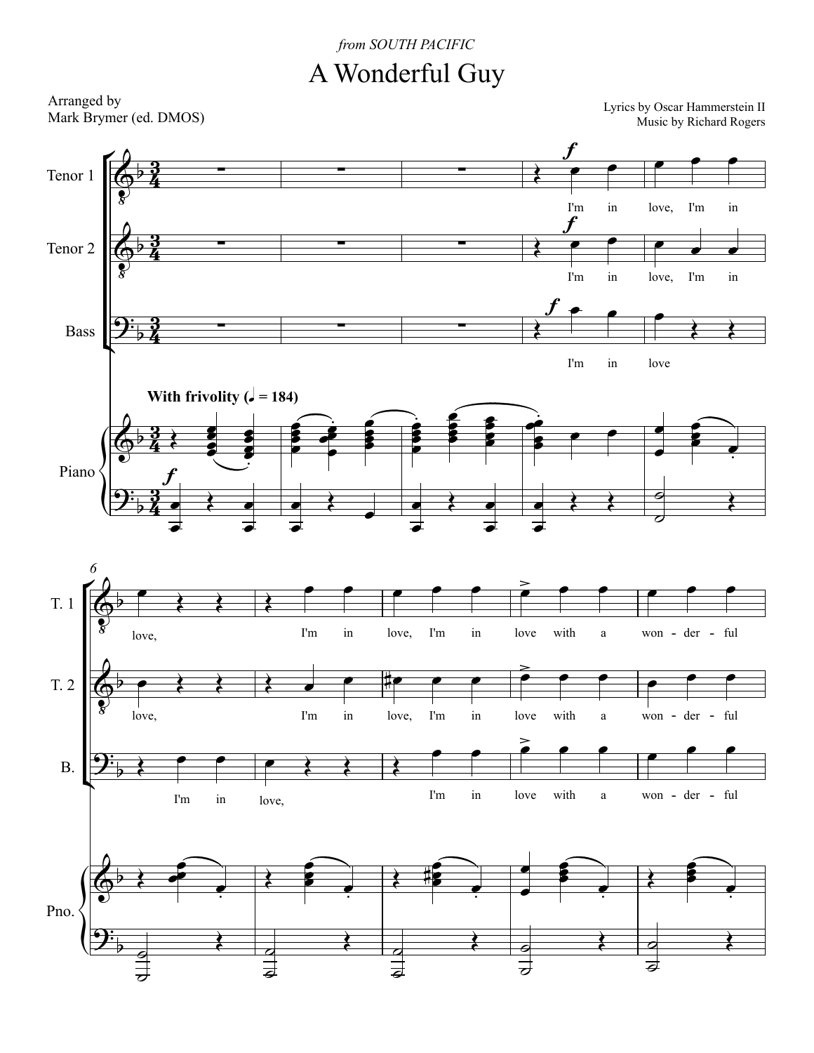## *from SOUTH PACIFIC*

## A Wonderful Guy



Lyrics by Oscar Hammerstein II Music by Richard Rogers

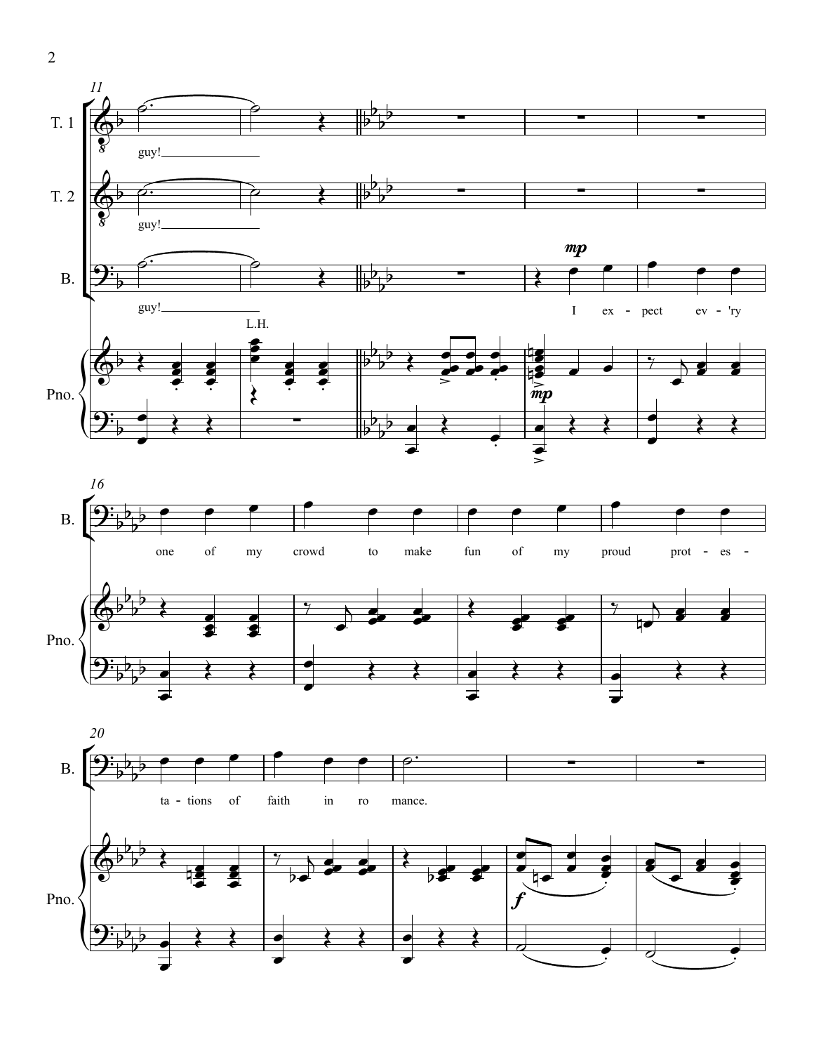



œ

œ



2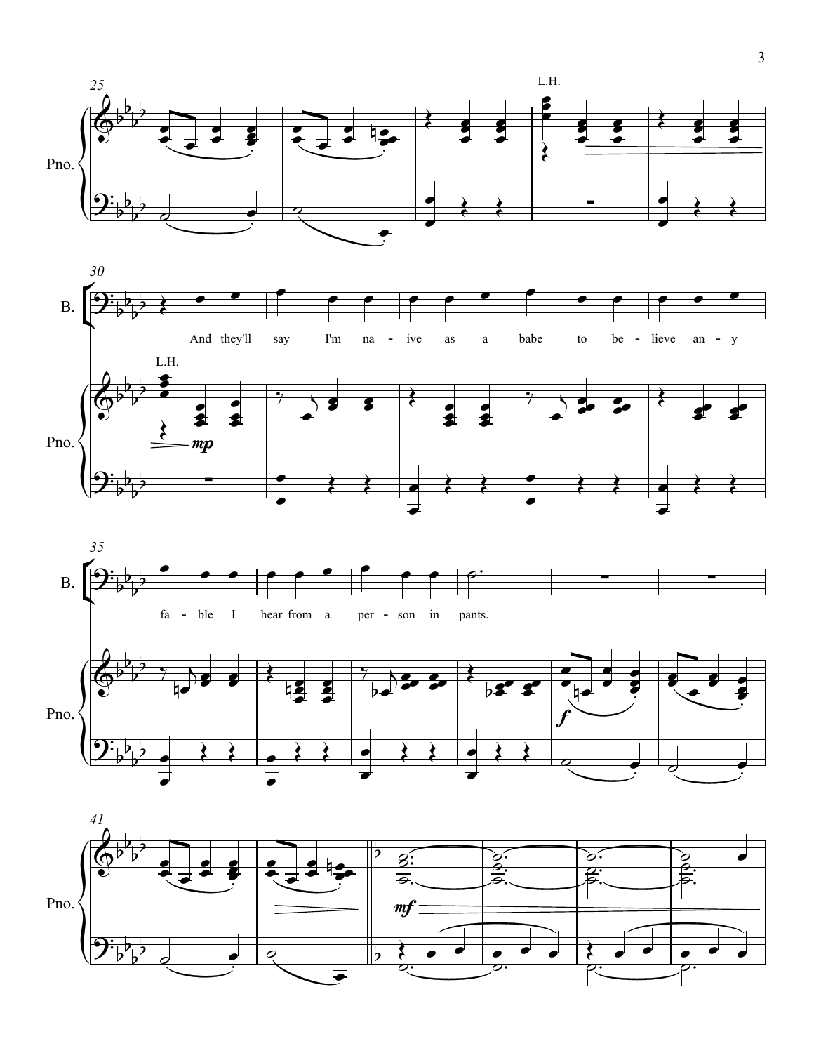





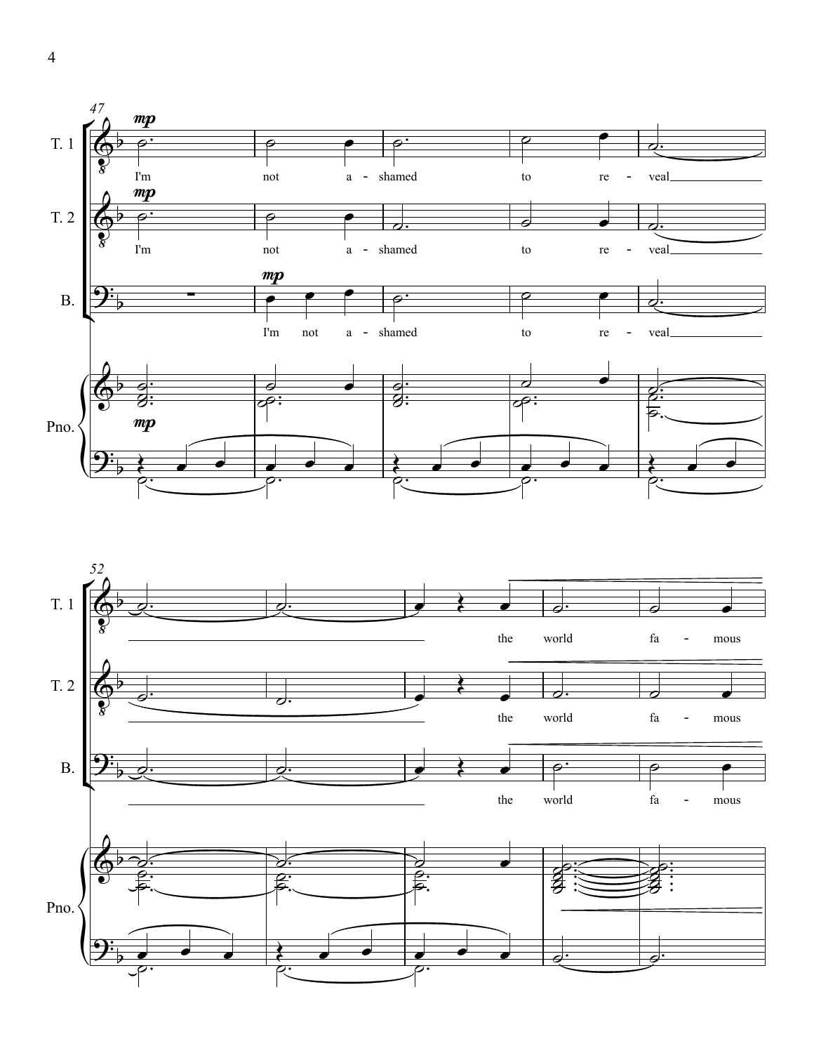

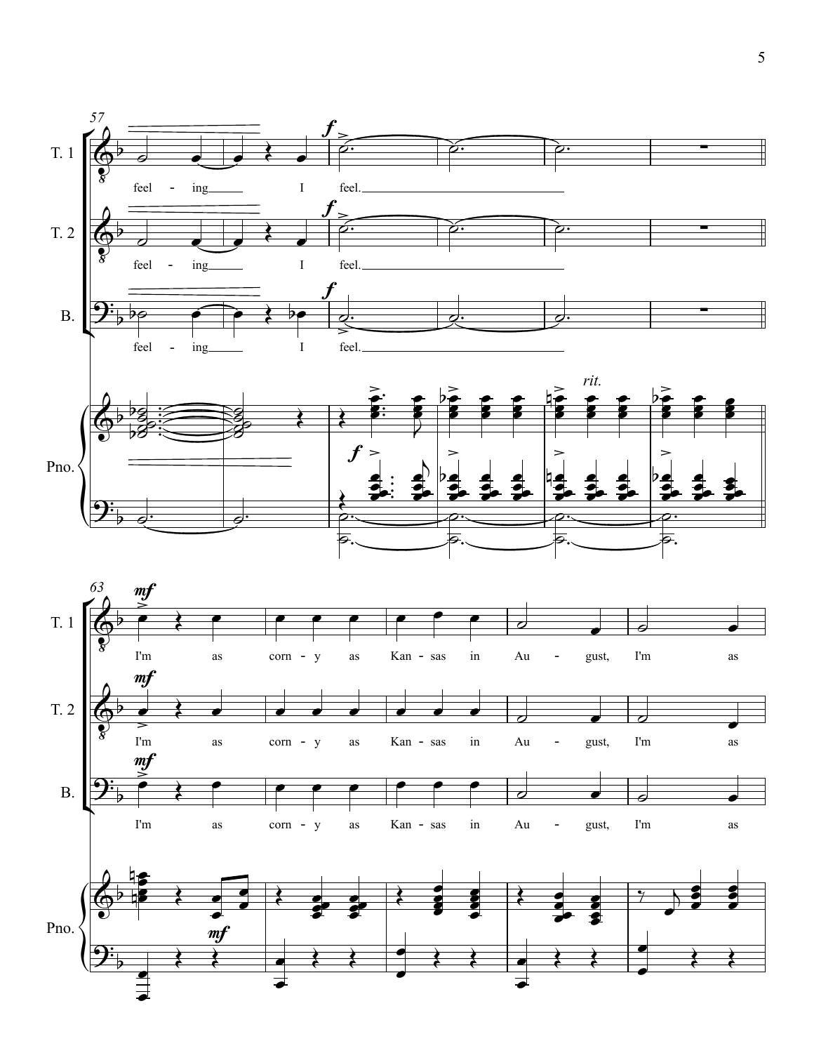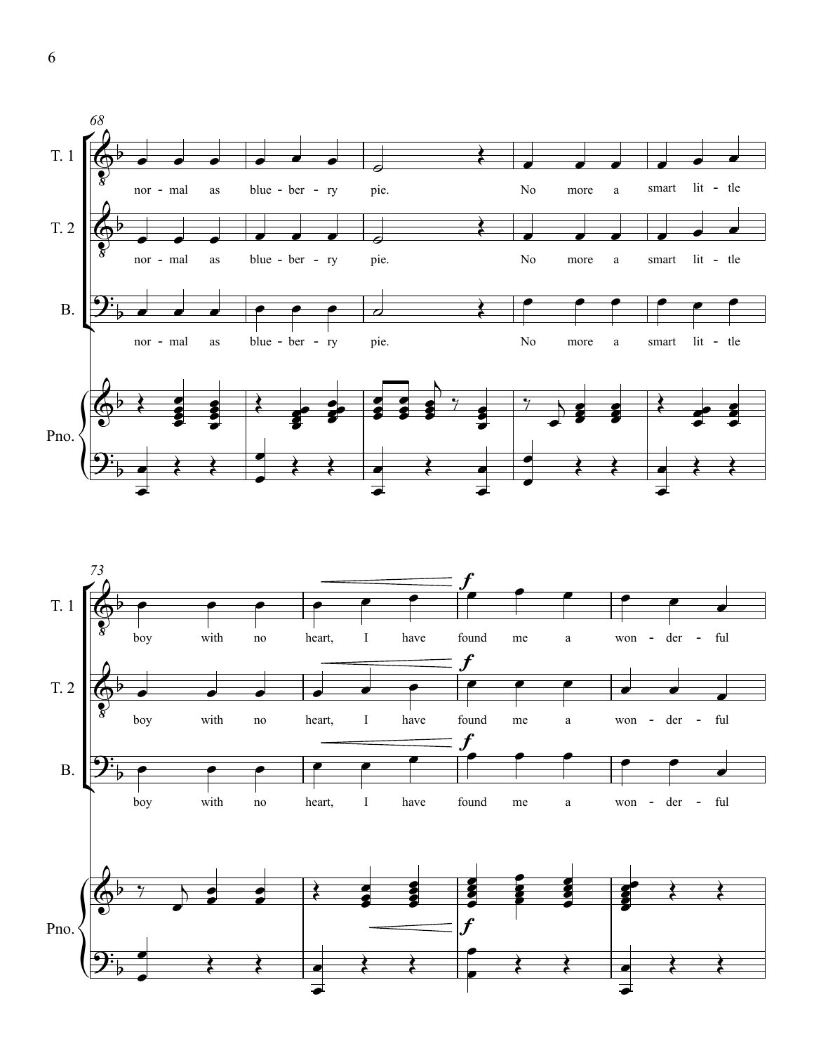

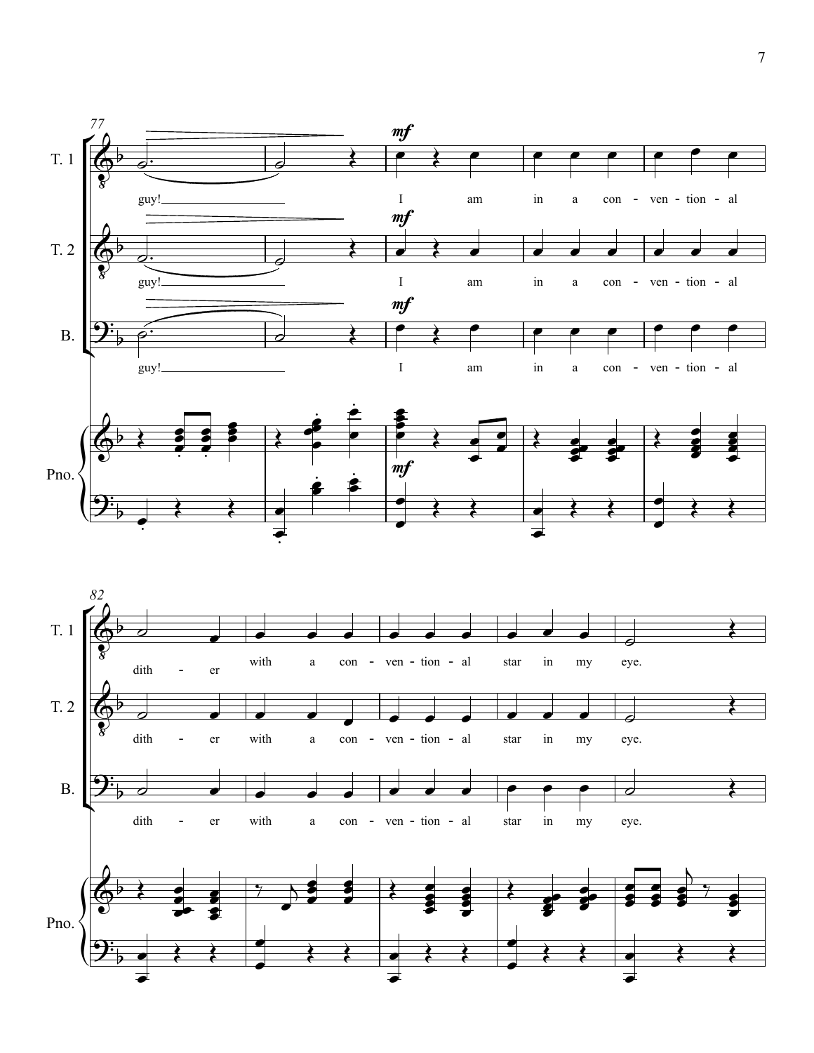



 $\boldsymbol{7}$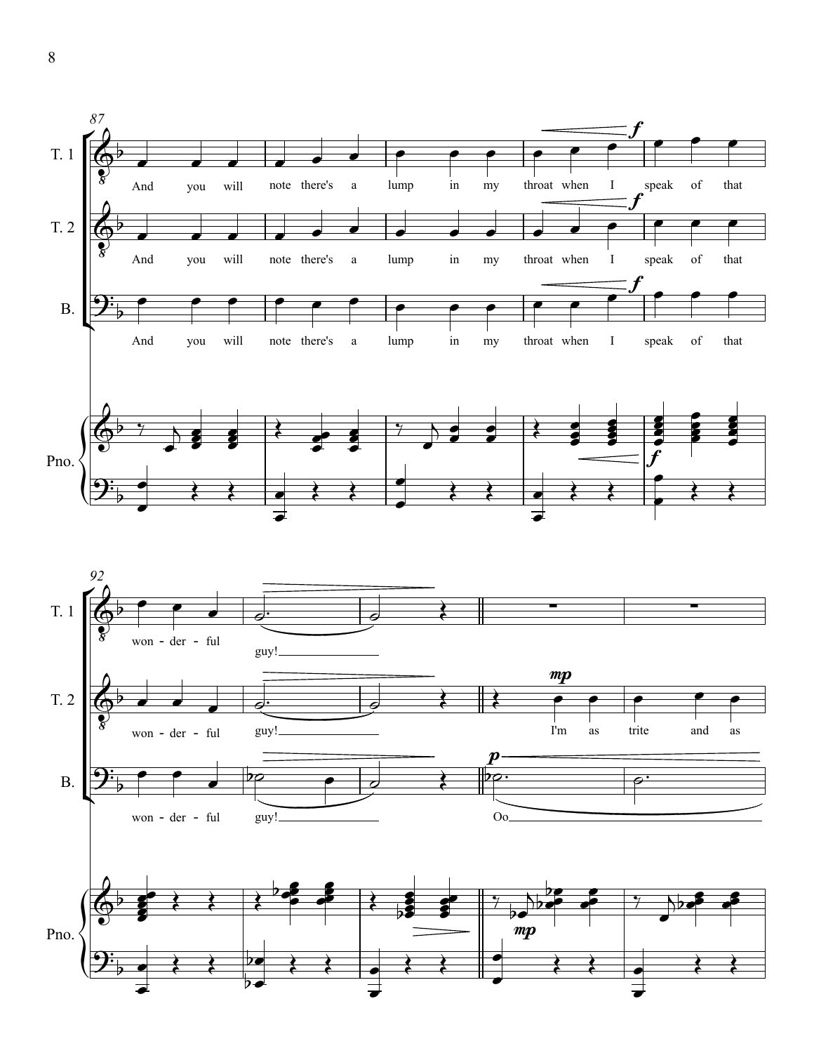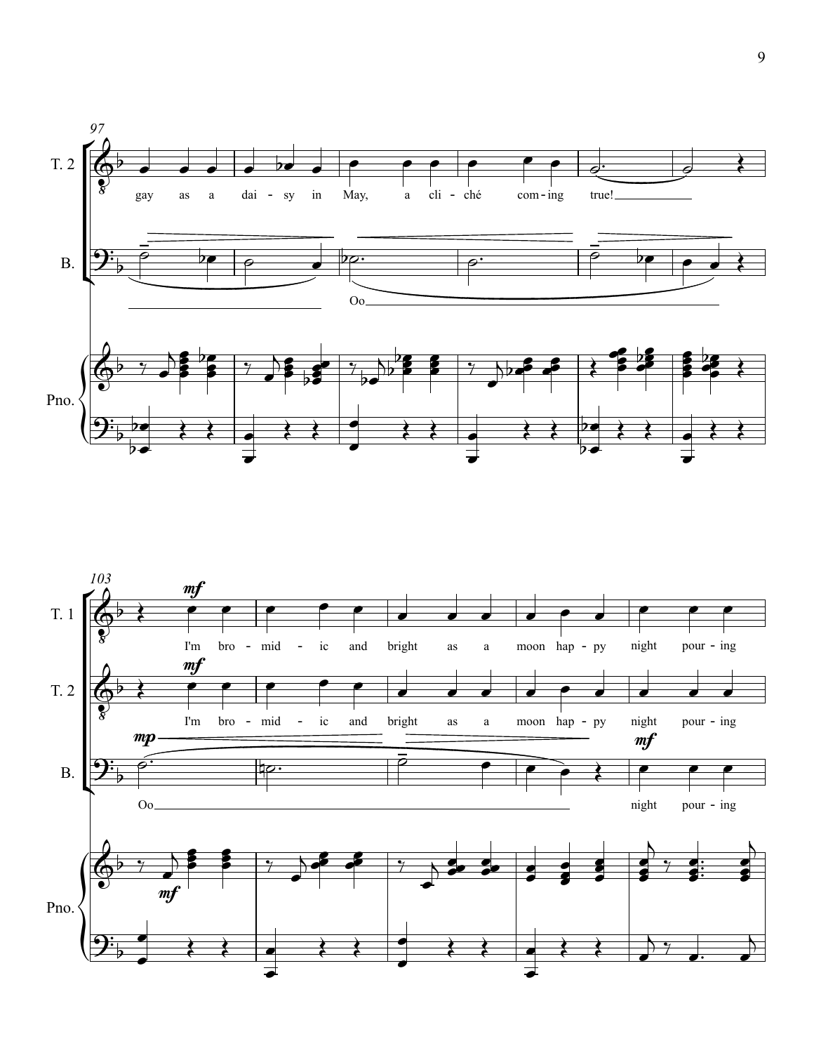

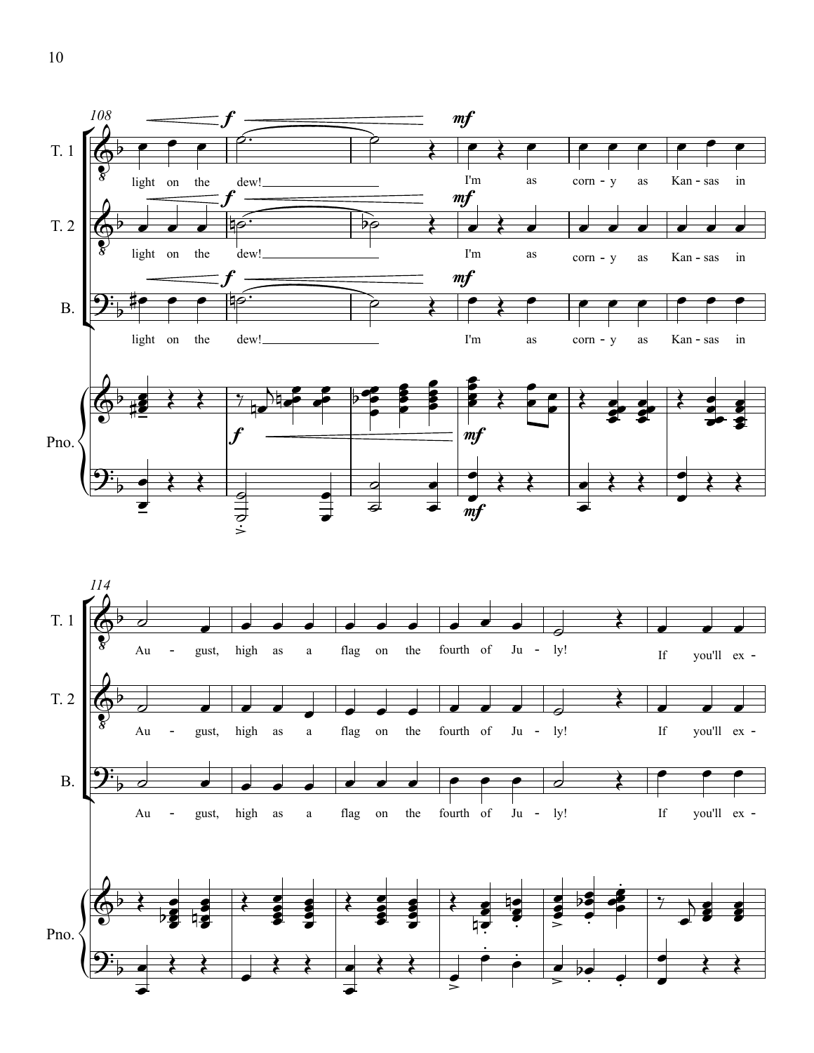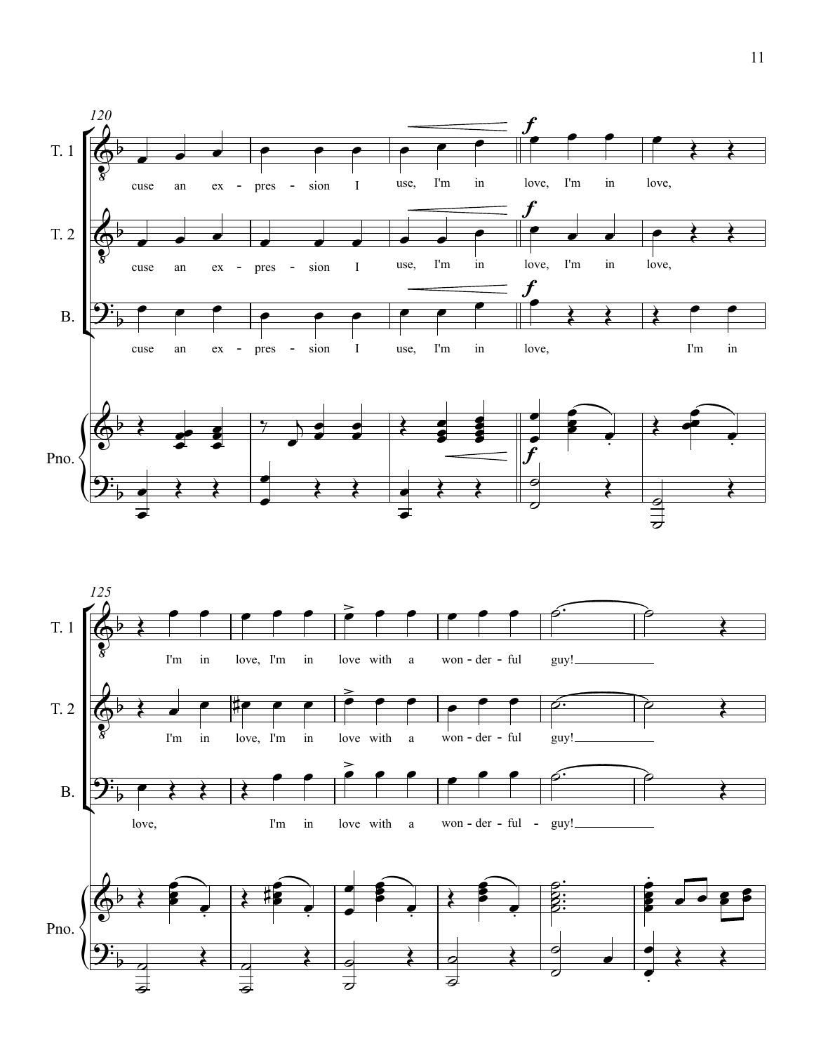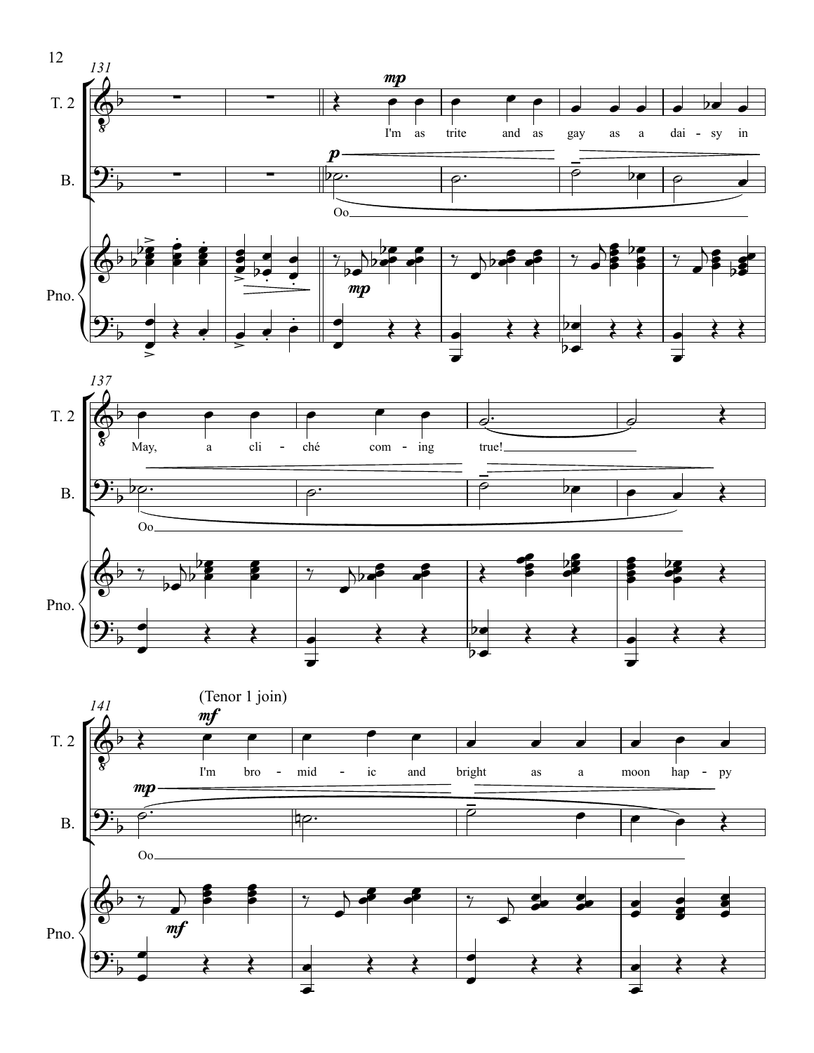

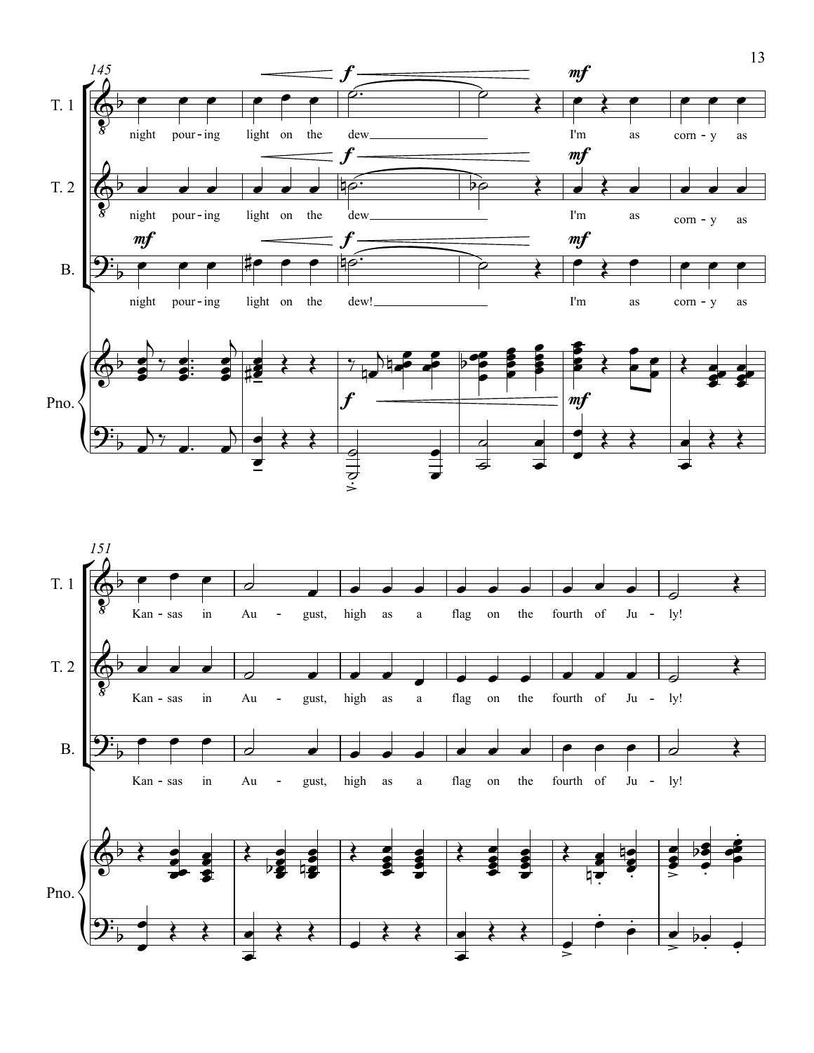

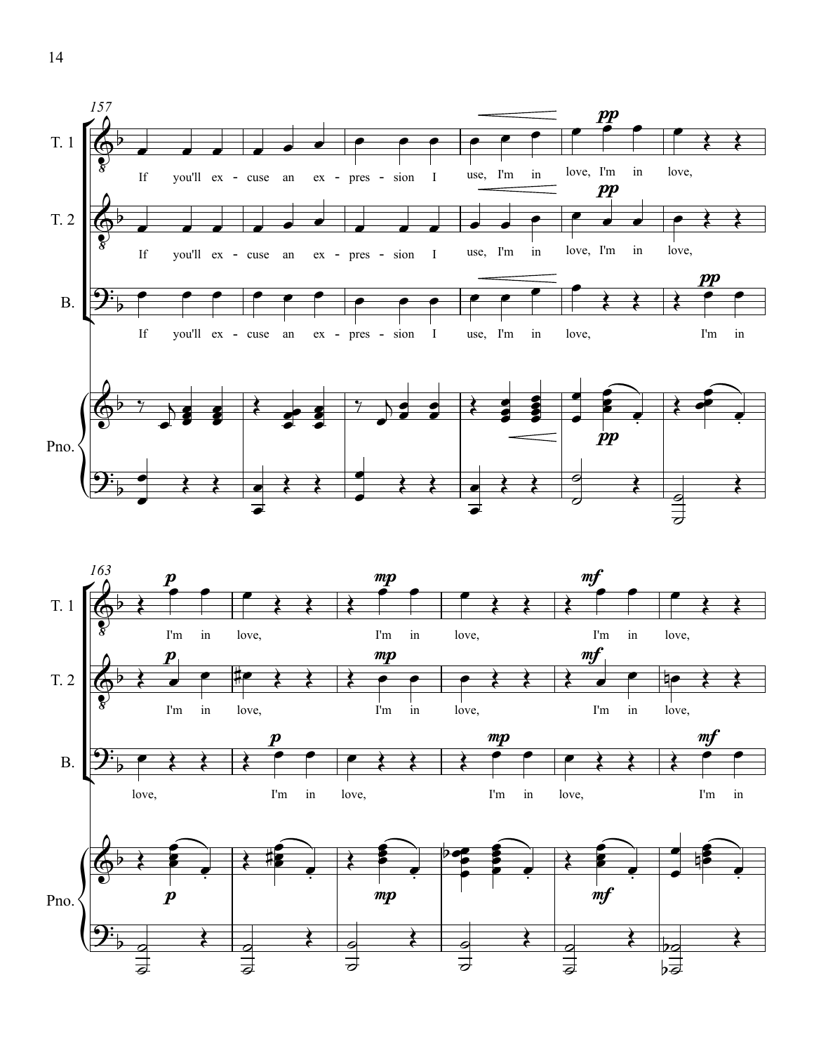